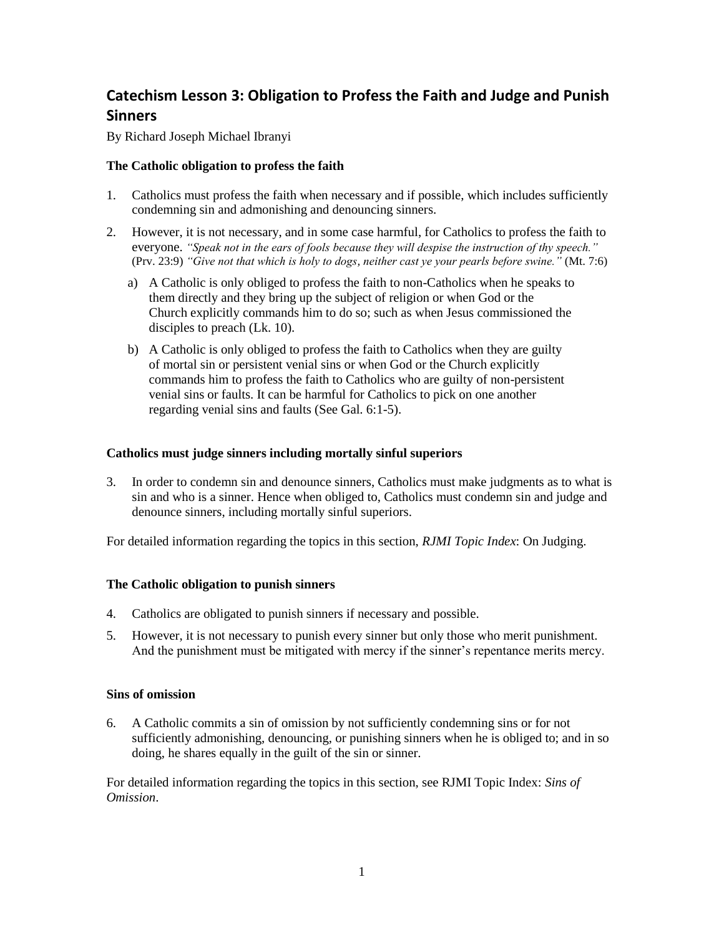# **Catechism Lesson 3: Obligation to Profess the Faith and Judge and Punish Sinners**

By Richard Joseph Michael Ibranyi

## **The Catholic obligation to profess the faith**

- 1. Catholics must profess the faith when necessary and if possible, which includes sufficiently condemning sin and admonishing and denouncing sinners.
- 2. However, it is not necessary, and in some case harmful, for Catholics to profess the faith to everyone. *"Speak not in the ears of fools because they will despise the instruction of thy speech."* (Prv. 23:9) *"Give not that which is holy to dogs, neither cast ye your pearls before swine."* (Mt. 7:6)
	- a) A Catholic is only obliged to profess the faith to non-Catholics when he speaks to them directly and they bring up the subject of religion or when God or the Church explicitly commands him to do so; such as when Jesus commissioned the disciples to preach (Lk. 10).
	- b) A Catholic is only obliged to profess the faith to Catholics when they are guilty of mortal sin or persistent venial sins or when God or the Church explicitly commands him to profess the faith to Catholics who are guilty of non-persistent venial sins or faults. It can be harmful for Catholics to pick on one another regarding venial sins and faults (See Gal. 6:1-5).

## **Catholics must judge sinners including mortally sinful superiors**

3. In order to condemn sin and denounce sinners, Catholics must make judgments as to what is sin and who is a sinner. Hence when obliged to, Catholics must condemn sin and judge and denounce sinners, including mortally sinful superiors.

For detailed information regarding the topics in this section, *RJMI Topic Index*: On Judging.

## **The Catholic obligation to punish sinners**

- 4. Catholics are obligated to punish sinners if necessary and possible.
- 5. However, it is not necessary to punish every sinner but only those who merit punishment. And the punishment must be mitigated with mercy if the sinner's repentance merits mercy.

#### **Sins of omission**

6. A Catholic commits a sin of omission by not sufficiently condemning sins or for not sufficiently admonishing, denouncing, or punishing sinners when he is obliged to; and in so doing, he shares equally in the guilt of the sin or sinner.

For detailed information regarding the topics in this section, see RJMI Topic Index: *Sins of Omission*.